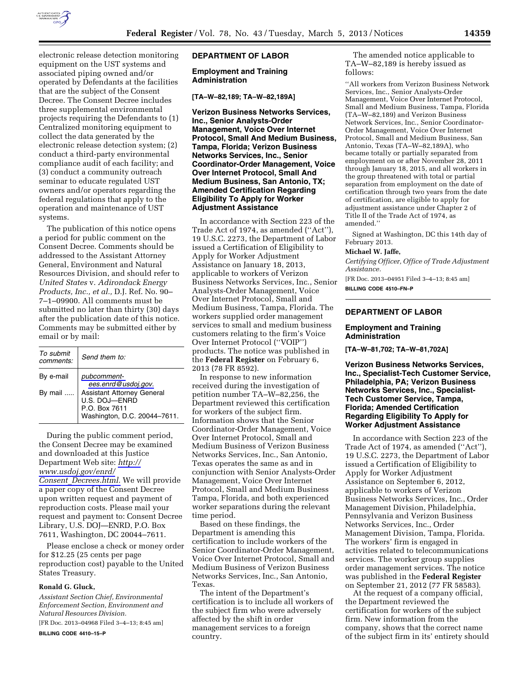

electronic release detection monitoring equipment on the UST systems and associated piping owned and/or operated by Defendants at the facilities that are the subject of the Consent Decree. The Consent Decree includes three supplemental environmental projects requiring the Defendants to (1) Centralized monitoring equipment to collect the data generated by the electronic release detection system; (2) conduct a third-party environmental compliance audit of each facility; and (3) conduct a community outreach seminar to educate regulated UST owners and/or operators regarding the federal regulations that apply to the operation and maintenance of UST systems.

The publication of this notice opens a period for public comment on the Consent Decree. Comments should be addressed to the Assistant Attorney General, Environment and Natural Resources Division, and should refer to *United States* v. *Adirondack Energy Products, Inc., et al.,* D.J. Ref. No. 90– 7–1–09900. All comments must be submitted no later than thirty (30) days after the publication date of this notice. Comments may be submitted either by email or by mail:

| To submit<br>comments: | Send them to:                                                                                |
|------------------------|----------------------------------------------------------------------------------------------|
| By e-mail              | pubcomment-<br>ees.enrd@usdoj.gov.                                                           |
| By mail                | Assistant Attorney General<br>U.S. DOJ-ENRD<br>P.O. Box 7611<br>Washington, D.C. 20044-7611. |

During the public comment period, the Consent Decree may be examined and downloaded at this Justice Department Web site: *[http://](http://www.usdoj.gov/enrd/Consent_Decrees.html)  [www.usdoj.gov/enrd/](http://www.usdoj.gov/enrd/Consent_Decrees.html) Consent*\_*[Decrees.html.](http://www.usdoj.gov/enrd/Consent_Decrees.html)* We will provide a paper copy of the Consent Decree upon written request and payment of reproduction costs. Please mail your request and payment to: Consent Decree Library, U.S. DOJ—ENRD, P.O. Box 7611, Washington, DC 20044–7611.

Please enclose a check or money order for \$12.25 (25 cents per page reproduction cost) payable to the United States Treasury.

### **Ronald G. Gluck,**

*Assistant Section Chief, Environmental Enforcement Section, Environment and Natural Resources Division.* 

[FR Doc. 2013–04968 Filed 3–4–13; 8:45 am] **BILLING CODE 4410–15–P** 

# **DEPARTMENT OF LABOR**

**Employment and Training Administration** 

**[TA–W–82,189; TA–W–82,189A]** 

**Verizon Business Networks Services, Inc., Senior Analysts-Order Management, Voice Over Internet Protocol, Small And Medium Business, Tampa, Florida; Verizon Business Networks Services, Inc., Senior Coordinator-Order Management, Voice Over Internet Protocol, Small And Medium Business, San Antonio, TX; Amended Certification Regarding Eligibility To Apply for Worker Adjustment Assistance** 

In accordance with Section 223 of the Trade Act of 1974, as amended (''Act''), 19 U.S.C. 2273, the Department of Labor issued a Certification of Eligibility to Apply for Worker Adjustment Assistance on January 18, 2013, applicable to workers of Verizon Business Networks Services, Inc., Senior Analysts-Order Management, Voice Over Internet Protocol, Small and Medium Business, Tampa, Florida. The workers supplied order management services to small and medium business customers relating to the firm's Voice Over Internet Protocol (''VOIP'') products. The notice was published in the **Federal Register** on February 6, 2013 (78 FR 8592).

In response to new information received during the investigation of petition number TA–W–82,256, the Department reviewed this certification for workers of the subject firm. Information shows that the Senior Coordinator-Order Management, Voice Over Internet Protocol, Small and Medium Business of Verizon Business Networks Services, Inc., San Antonio, Texas operates the same as and in conjunction with Senior Analysts-Order Management, Voice Over Internet Protocol, Small and Medium Business Tampa, Florida, and both experienced worker separations during the relevant time period.

Based on these findings, the Department is amending this certification to include workers of the Senior Coordinator-Order Management, Voice Over Internet Protocol, Small and Medium Business of Verizon Business Networks Services, Inc., San Antonio, Texas.

The intent of the Department's certification is to include all workers of the subject firm who were adversely affected by the shift in order management services to a foreign country.

The amended notice applicable to TA–W–82,189 is hereby issued as follows:

''All workers from Verizon Business Network Services, Inc., Senior Analysts-Order Management, Voice Over Internet Protocol, Small and Medium Business, Tampa, Florida (TA–W–82,189) and Verizon Business Network Services, Inc., Senior Coordinator-Order Management, Voice Over Internet Protocol, Small and Medium Business, San Antonio, Texas (TA–W–82,189A), who became totally or partially separated from employment on or after November 28, 2011 through January 18, 2015, and all workers in the group threatened with total or partial separation from employment on the date of certification through two years from the date of certification, are eligible to apply for adjustment assistance under Chapter 2 of Title II of the Trade Act of 1974, as amended.''

Signed at Washington, DC this 14th day of February 2013.

#### **Michael W. Jaffe,**

*Certifying Officer, Office of Trade Adjustment Assistance.* 

[FR Doc. 2013–04951 Filed 3–4–13; 8:45 am] **BILLING CODE 4510–FN–P** 

# **DEPARTMENT OF LABOR**

### **Employment and Training Administration**

**[TA–W–81,702; TA–W–81,702A]** 

**Verizon Business Networks Services, Inc., Specialist-Tech Customer Service, Philadelphia, PA; Verizon Business Networks Services, Inc., Specialist-Tech Customer Service, Tampa, Florida; Amended Certification Regarding Eligibility To Apply for Worker Adjustment Assistance** 

In accordance with Section 223 of the Trade Act of 1974, as amended (''Act''), 19 U.S.C. 2273, the Department of Labor issued a Certification of Eligibility to Apply for Worker Adjustment Assistance on September 6, 2012, applicable to workers of Verizon Business Networks Services, Inc., Order Management Division, Philadelphia, Pennsylvania and Verizon Business Networks Services, Inc., Order Management Division, Tampa, Florida. The workers' firm is engaged in activities related to telecommunications services. The worker group supplies order management services. The notice was published in the **Federal Register**  on September 21, 2012 (77 FR 58583).

At the request of a company official, the Department reviewed the certification for workers of the subject firm. New information from the company, shows that the correct name of the subject firm in its' entirety should